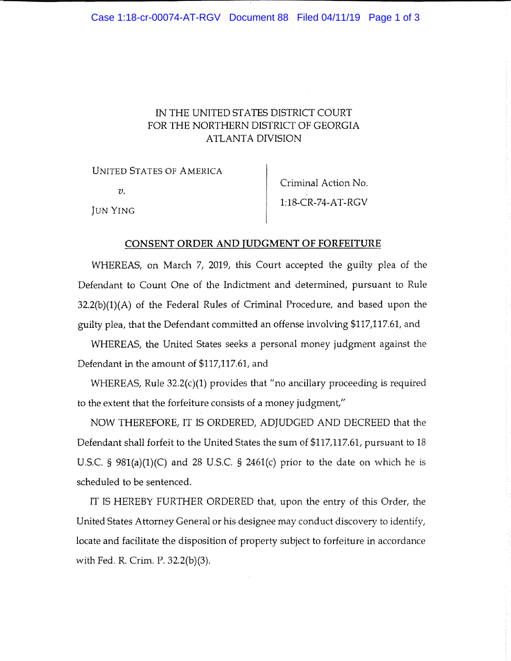## IN THE UNITED STATES DISTRICT COURT FOR THE NORTHERN DISTRICT OF GEORGIA ATLANTA DIVISION

UNITED STATES OF AMERICA

 $v$ .

Criminal Action No, 1:18-CR-74-AT-RGV

Jun Ying

## CONSENT ORDER AND JUDGMENT OF FORFEITURE

WHEREAS, on March 7, 2019, this Court accepted the guilty plea of the Defendant to Count One of the Indictment and determined, pursuant to Rule 32.2(b)(1)(A) of the Federal Rules of Criminal Procedure, and based upon the guilty plea, that the Defendant committed an offense involving \$117,117.61, and

WHEREAS, the United States seeks a personal money judgment against the Defendant in the amount of \$117,117.61, and

WHEREAS, Rule 32.2(c)(1) provides that "no ancillary proceeding is required to the extent that the forfeiture consists of a money judgment,"

NOW THEREFORE, IT IS ORDERED, ADJUDGED AND DECREED that the Defendant shall forfeit to the United States the sum of \$117,117.61, pursuant to 18 U.S.C. §  $981(a)(1)(C)$  and 28 U.S.C. § 2461(c) prior to the date on which he is scheduled to be sentenced.

IT IS HEREBY FURTHER ORDERED that, upon the entry of this Order, the United States Attorney General or his designee may conduct discovery to identify, locate and facilitate the disposition of property subject to forfeiture in accordance with Fed. R. Crim. P. 32.2(b)(3).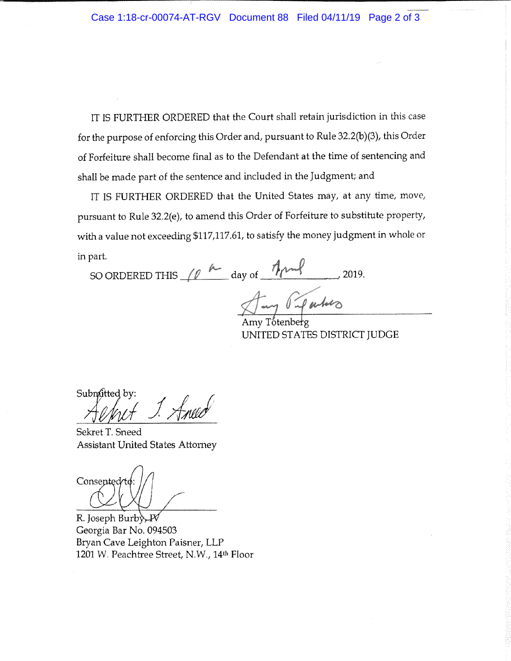IT IS FURTHER ORDERED that the Court shall retain jurisdiction in this case for the purpose of enforcing this Order and, pursuant to Rule 32.2(b)(3), this Order of Forfeiture shall become final as to the Defendant at the time of sentencing and shall be made part of the sentence and included in the Judgment; and

IT IS FURTHER ORDERED that the United States may, at any time, move, pursuant to Rule 32.2(e), *to* amend *this* Order of Forfeiture *to* substitute property, with a value not exceeding \$117,117.61, to satisfy *the* money judgment in whole or in part.

SO ORDERED THIS  $\mu$   $\sim$  day of  $\frac{7\mu}{\mu}$  2019.

Amy Paparties Amy Totenberg

UNITED STATES DISTRICT JUDGE

Submitted by:

Sekret T. Sneed Assistant United States Attorney

Consented

R. Joseph Burb Georgia Bar No, 094503 Bryan Cave Leighton Paisner, LLP 1201 W. Peachtree Street, N.W., 14<sup>th</sup> Floor